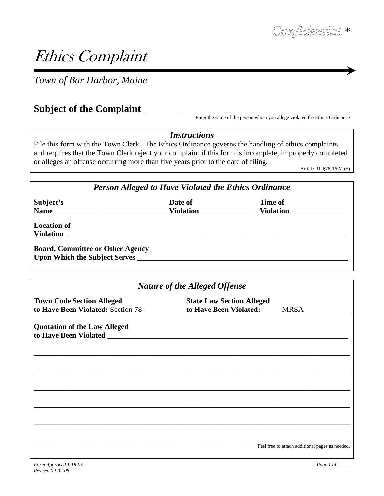## Ethics Complaint

*Town of Bar Harbor, Maine*

## Subject of the Complaint

Enter the name of the person whom you allege violated the Ethics Ordinance

| <b>Person Alleged to Have Violated the Ethics Ordinance</b><br>Date of<br><b>Time of</b><br>Subject's<br><b>Violation</b><br>Violation<br><b>Location of</b><br><b>Violation</b><br><b>Board, Committee or Other Agency</b><br>Upon Which the Subject Serves<br><b>Nature of the Alleged Offense</b><br><b>Town Code Section Alleged</b><br><b>State Law Section Alleged</b><br>to Have Been Violated: Section 78-<br>to Have Been Violated:<br><b>MRSA</b><br><b>Quotation of the Law Alleged</b> | File this form with the Town Clerk. The Ethics Ordinance governs the handling of ethics complaints<br>and requires that the Town Clerk reject your complaint if this form is incomplete, improperly completed<br>or alleges an offense occurring more than five years prior to the date of filing. | <i><b>Instructions</b></i> | Article III, §78-16 M.(5) |
|----------------------------------------------------------------------------------------------------------------------------------------------------------------------------------------------------------------------------------------------------------------------------------------------------------------------------------------------------------------------------------------------------------------------------------------------------------------------------------------------------|----------------------------------------------------------------------------------------------------------------------------------------------------------------------------------------------------------------------------------------------------------------------------------------------------|----------------------------|---------------------------|
|                                                                                                                                                                                                                                                                                                                                                                                                                                                                                                    |                                                                                                                                                                                                                                                                                                    |                            |                           |
|                                                                                                                                                                                                                                                                                                                                                                                                                                                                                                    |                                                                                                                                                                                                                                                                                                    |                            |                           |
|                                                                                                                                                                                                                                                                                                                                                                                                                                                                                                    |                                                                                                                                                                                                                                                                                                    |                            |                           |
|                                                                                                                                                                                                                                                                                                                                                                                                                                                                                                    |                                                                                                                                                                                                                                                                                                    |                            |                           |
|                                                                                                                                                                                                                                                                                                                                                                                                                                                                                                    |                                                                                                                                                                                                                                                                                                    |                            |                           |
|                                                                                                                                                                                                                                                                                                                                                                                                                                                                                                    |                                                                                                                                                                                                                                                                                                    |                            |                           |
|                                                                                                                                                                                                                                                                                                                                                                                                                                                                                                    |                                                                                                                                                                                                                                                                                                    |                            |                           |
|                                                                                                                                                                                                                                                                                                                                                                                                                                                                                                    |                                                                                                                                                                                                                                                                                                    |                            |                           |
|                                                                                                                                                                                                                                                                                                                                                                                                                                                                                                    |                                                                                                                                                                                                                                                                                                    |                            |                           |
|                                                                                                                                                                                                                                                                                                                                                                                                                                                                                                    |                                                                                                                                                                                                                                                                                                    |                            |                           |
|                                                                                                                                                                                                                                                                                                                                                                                                                                                                                                    |                                                                                                                                                                                                                                                                                                    |                            |                           |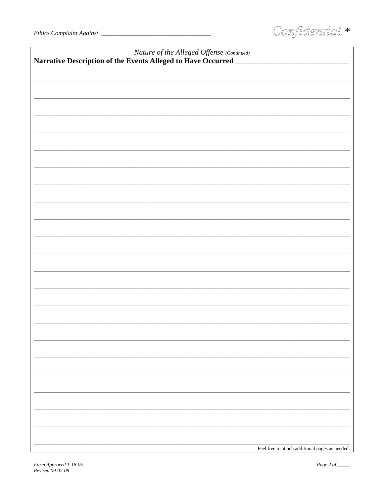| Nature of the Alleged Offense (Continued)<br>Narrative Description of the Events Alleged to Have Occurred |                                                 |  |  |  |
|-----------------------------------------------------------------------------------------------------------|-------------------------------------------------|--|--|--|
|                                                                                                           |                                                 |  |  |  |
|                                                                                                           |                                                 |  |  |  |
|                                                                                                           |                                                 |  |  |  |
|                                                                                                           |                                                 |  |  |  |
|                                                                                                           |                                                 |  |  |  |
|                                                                                                           |                                                 |  |  |  |
|                                                                                                           |                                                 |  |  |  |
|                                                                                                           |                                                 |  |  |  |
|                                                                                                           |                                                 |  |  |  |
|                                                                                                           |                                                 |  |  |  |
|                                                                                                           |                                                 |  |  |  |
|                                                                                                           |                                                 |  |  |  |
|                                                                                                           |                                                 |  |  |  |
|                                                                                                           |                                                 |  |  |  |
|                                                                                                           |                                                 |  |  |  |
|                                                                                                           |                                                 |  |  |  |
|                                                                                                           |                                                 |  |  |  |
|                                                                                                           |                                                 |  |  |  |
|                                                                                                           |                                                 |  |  |  |
|                                                                                                           |                                                 |  |  |  |
|                                                                                                           |                                                 |  |  |  |
|                                                                                                           |                                                 |  |  |  |
|                                                                                                           |                                                 |  |  |  |
|                                                                                                           |                                                 |  |  |  |
|                                                                                                           |                                                 |  |  |  |
|                                                                                                           |                                                 |  |  |  |
|                                                                                                           |                                                 |  |  |  |
|                                                                                                           |                                                 |  |  |  |
|                                                                                                           |                                                 |  |  |  |
|                                                                                                           |                                                 |  |  |  |
|                                                                                                           |                                                 |  |  |  |
|                                                                                                           | Feel free to attach additional pages as needed. |  |  |  |